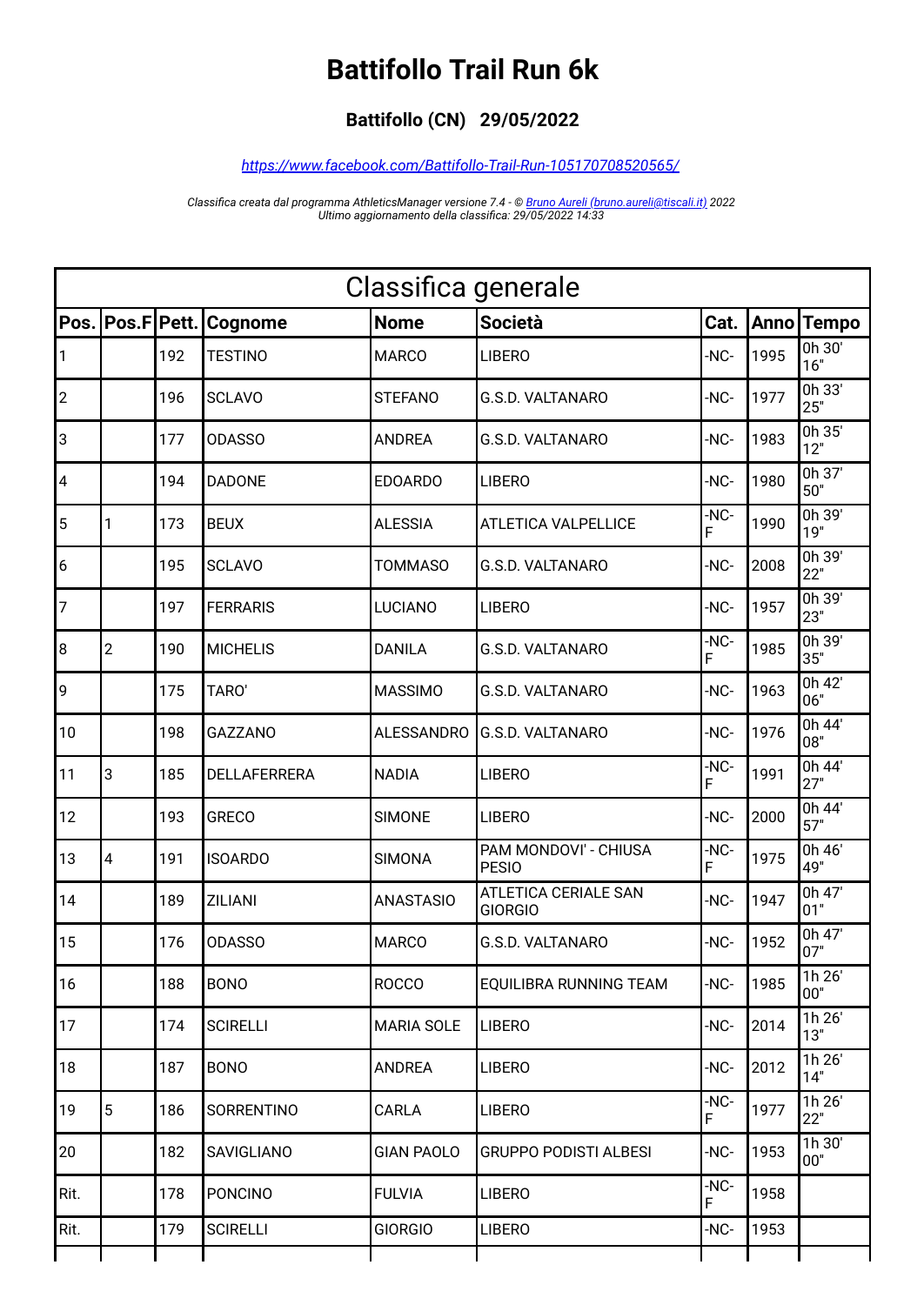## **Battifollo Trail Run 6k**

## **Battifollo (CN) 29/05/2022**

## *<https://www.facebook.com/Battifollo-Trail-Run-105170708520565/>*

*Classifica creata dal programma AthleticsManager versione 7.4 - © [Bruno Aureli \(bruno.aureli@tiscali.it\)](mailto:bruno.aureli@tiscali.it?subject=Richiesta%20informazioni%20su%20programma%20AthleticsManager) 2022 Ultimo aggiornamento della classifica: 29/05/2022 14:33*

| Classifica generale |                |       |                 |                   |                                               |           |      |               |  |
|---------------------|----------------|-------|-----------------|-------------------|-----------------------------------------------|-----------|------|---------------|--|
| Pos.                | Pos.F          | Pett. | Cognome         | <b>Nome</b>       | <b>Società</b>                                | Cat.      |      | Anno Tempo    |  |
|                     |                | 192   | <b>TESTINO</b>  | <b>MARCO</b>      | <b>LIBERO</b>                                 | -NC-      | 1995 | 0h 30'<br>16" |  |
| $ 2\rangle$         |                | 196   | <b>SCLAVO</b>   | <b>STEFANO</b>    | <b>G.S.D. VALTANARO</b>                       | -NC-      | 1977 | 0h 33'<br>25" |  |
| 3                   |                | 177   | <b>ODASSO</b>   | <b>ANDREA</b>     | G.S.D. VALTANARO                              | -NC-      | 1983 | 0h 35'<br>12" |  |
| 4                   |                | 194   | <b>DADONE</b>   | <b>EDOARDO</b>    | <b>LIBERO</b>                                 | -NC-      | 1980 | 0h 37'<br>50" |  |
| 5                   | 1              | 173   | <b>BEUX</b>     | <b>ALESSIA</b>    | <b>ATLETICA VALPELLICE</b>                    | -NC-<br>F | 1990 | 0h 39'<br>19" |  |
| 6                   |                | 195   | <b>SCLAVO</b>   | <b>TOMMASO</b>    | G.S.D. VALTANARO                              | -NC-      | 2008 | 0h 39'<br>22" |  |
| 7                   |                | 197   | <b>FERRARIS</b> | <b>LUCIANO</b>    | <b>LIBERO</b>                                 | -NC-      | 1957 | 0h 39'<br>23" |  |
| 8                   | $\overline{c}$ | 190   | <b>MICHELIS</b> | <b>DANILA</b>     | <b>G.S.D. VALTANARO</b>                       | -NC-<br>F | 1985 | 0h 39'<br>35" |  |
| 9                   |                | 175   | TARO'           | <b>MASSIMO</b>    | G.S.D. VALTANARO                              | -NC-      | 1963 | 0h 42'<br>06" |  |
| 10                  |                | 198   | <b>GAZZANO</b>  | <b>ALESSANDRO</b> | <b>G.S.D. VALTANARO</b>                       | -NC-      | 1976 | 0h 44'<br>08" |  |
| 11                  | 3              | 185   | DELLAFERRERA    | <b>NADIA</b>      | <b>LIBERO</b>                                 | -NC-<br>F | 1991 | 0h 44'<br>27" |  |
| 12                  |                | 193   | <b>GRECO</b>    | <b>SIMONE</b>     | <b>LIBERO</b>                                 | -NC-      | 2000 | 0h 44'<br>57" |  |
| 13                  | 4              | 191   | <b>ISOARDO</b>  | <b>SIMONA</b>     | PAM MONDOVI' - CHIUSA<br><b>PESIO</b>         | -NC-<br>F | 1975 | 0h 46'<br>49" |  |
| 14                  |                | 189   | <b>ZILIANI</b>  | <b>ANASTASIO</b>  | <b>ATLETICA CERIALE SAN</b><br><b>GIORGIO</b> | -NC-      | 1947 | 0h 47'<br>01" |  |
| 15                  |                | 176   | <b>ODASSO</b>   | <b>MARCO</b>      | G.S.D. VALTANARO                              | -NC-      | 1952 | 0h 47'<br>07" |  |
| 16                  |                | 188   | <b>BONO</b>     | <b>ROCCO</b>      | EQUILIBRA RUNNING TEAM                        | -NC-      | 1985 | 1h 26'<br>00" |  |
| 17                  |                | 174   | <b>SCIRELLI</b> | <b>MARIA SOLE</b> | <b>LIBERO</b>                                 | -NC-      | 2014 | 1h 26'<br>13" |  |
| 18                  |                | 187   | <b>BONO</b>     | <b>ANDREA</b>     | <b>LIBERO</b>                                 | -NC-      | 2012 | 1h 26'<br>14" |  |
| 19                  | $\overline{5}$ | 186   | SORRENTINO      | CARLA             | <b>LIBERO</b>                                 | -NC-<br>F | 1977 | 1h 26'<br>22" |  |
| 20                  |                | 182   | SAVIGLIANO      | <b>GIAN PAOLO</b> | <b>GRUPPO PODISTI ALBESI</b>                  | -NC-      | 1953 | 1h 30'<br>00" |  |
| Rit.                |                | 178   | <b>PONCINO</b>  | <b>FULVIA</b>     | <b>LIBERO</b>                                 | -NC-<br>F | 1958 |               |  |
| Rit.                |                | 179   | <b>SCIRELLI</b> | <b>GIORGIO</b>    | LIBERO                                        | -NC-      | 1953 |               |  |